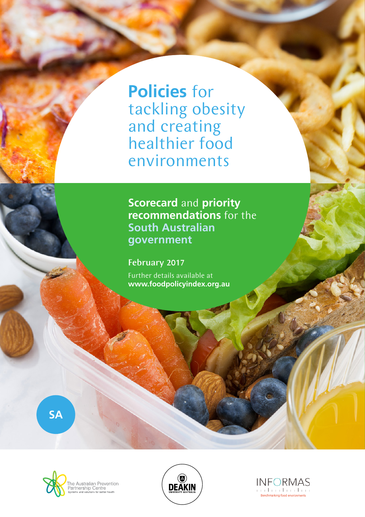**Policies** for tackling obesity and creating healthier food environments

**Scorecard** and **priority recommendations** for the **South Australian government**

February 2017 Further details available at **www.foodpolicyindex.org.au**

**SA**





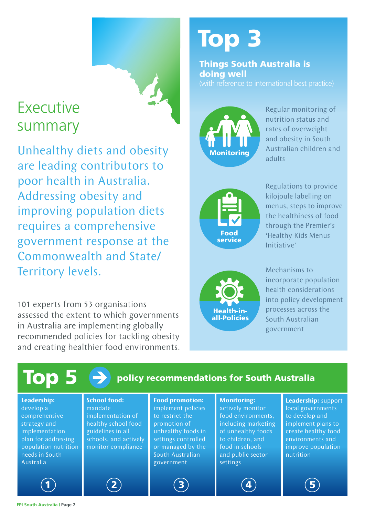# Executive summary

Unhealthy diets and obesity are leading contributors to poor health in Australia. Addressing obesity and improving population diets requires a comprehensive government response at the Commonwealth and State/ Territory levels.

101 experts from 53 organisations assessed the extent to which governments in Australia are implementing globally recommended policies for tackling obesity and creating healthier food environments.

# Top 3

Things South Australia is doing well



Regular monitoring of nutrition status and rates of overweight and obesity in South Australian children and adults



Regulations to provide kilojoule labelling on menus, steps to improve the healthiness of food through the Premier's 'Healthy Kids Menus Initiative'



Mechanisms to incorporate population health considerations into policy development processes across the South Australian government

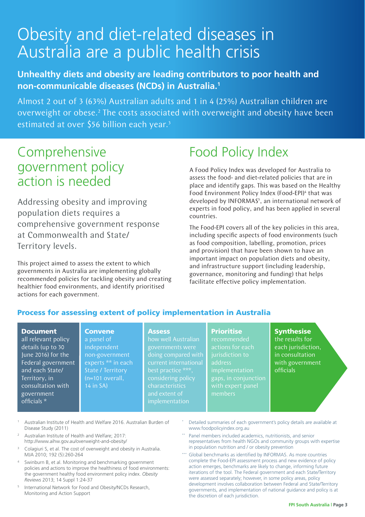# Obesity and diet-related diseases in Australia are a public health crisis

#### **Unhealthy diets and obesity are leading contributors to poor health and non-communicable diseases (NCDs) in Australia.1**

Almost 2 out of 3 (63%) Australian adults and 1 in 4 (25%) Australian children are overweight or obese.<sup>2</sup> The costs associated with overweight and obesity have been estimated at over \$56 billion each year.<sup>3</sup>

### Comprehensive government policy action is needed

Addressing obesity and improving population diets requires a comprehensive government response at Commonwealth and State/ Territory levels.

This project aimed to assess the extent to which governments in Australia are implementing globally recommended policies for tackling obesity and creating healthier food environments, and identify prioritised actions for each government.

> **Convene** a panel of independent

State / Territory (n=101 overall, 14 in SA)

# Food Policy Index

A Food Policy Index was developed for Australia to assess the food- and diet-related policies that are in place and identify gaps. This was based on the Healthy Food Environment Policy Index (Food-EPI)<sup>4</sup> that was developed by INFORMAS<sup>5</sup>, an international network of experts in food policy, and has been applied in several countries.

The Food-EPI covers all of the key policies in this area, including specific aspects of food environments (such as food composition, labelling, promotion, prices and provision) that have been shown to have an important impact on population diets and obesity, and infrastructure support (including leadership, governance, monitoring and funding) that helps facilitate effective policy implementation.

#### Process for assessing extent of policy implementation in Australia

#### Document

all relevant policy details (up to 30 June 2016) for the Federal government and each State/ Territory, in consultation with government officials \*

#### **Assess**

non-government experts \*\* in each how well Australian governments were doing compared with best practice \*\*\*, considering policy characteristics implementation

#### **Prioritise**

recommended actions for each address implementation gaps, in conjunction members

#### **Synthesise** the results for

each jurisdiction, in consultation with government officials

- <sup>1</sup> Australian Institute of Health and Welfare 2016. Australian Burden of Disease Study (2011)
- <sup>2</sup> Australian Institute of Health and Welfare; 2017: http://www.aihw.gov.au/overweight-and-obesity/
- <sup>3</sup> Colagiuri S, et al. The cost of overweight and obesity in Australia. MJA 2010; 192 (5):260-264
- Swinburn B, et al. Monitoring and benchmarking government policies and actions to improve the healthiness of food environments: the government healthy food environment policy index. *Obesity Reviews* 2013; 14 Suppl 1:24-37
- <sup>5</sup> International Network for Food and Obesity/NCDs Research, Monitoring and Action Support
- Detailed summaries of each government's policy details are available at www.foodpolicyindex.org.au
- Panel members included academics, nutritionists, and senior representatives from health NGOs and community groups with expertise in population nutrition and / or obesity prevention
- Global benchmarks as identified by INFORMAS. As more countries complete the Food-EPI assessment process and new evidence of policy action emerges, benchmarks are likely to change, informing future iterations of the tool. The Federal government and each State/Territory were assessed separately; however, in some policy areas, policy development involves collaboration between Federal and State/Territory governments, and implementation of national guidance and policy is at the discretion of each jurisdiction.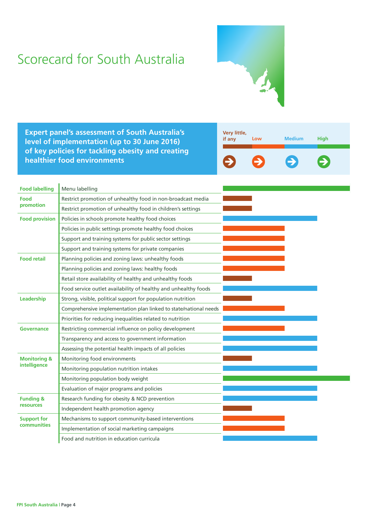# Scorecard for South Australia



**Expert panel's assessment of South Australia's level of implementation (up to 30 June 2016) of key policies for tackling obesity and creating healthier food environments**



| <b>Food labelling</b>                   | Menu labelling                                                   |  |  |
|-----------------------------------------|------------------------------------------------------------------|--|--|
| Food<br>promotion                       | Restrict promotion of unhealthy food in non-broadcast media      |  |  |
|                                         | Restrict promotion of unhealthy food in children's settings      |  |  |
| <b>Food provision</b>                   | Policies in schools promote healthy food choices                 |  |  |
|                                         | Policies in public settings promote healthy food choices         |  |  |
|                                         | Support and training systems for public sector settings          |  |  |
|                                         | Support and training systems for private companies               |  |  |
| <b>Food retail</b>                      | Planning policies and zoning laws: unhealthy foods               |  |  |
|                                         | Planning policies and zoning laws: healthy foods                 |  |  |
|                                         | Retail store availability of healthy and unhealthy foods         |  |  |
|                                         | Food service outlet availability of healthy and unhealthy foods  |  |  |
| Leadership                              | Strong, visible, political support for population nutrition      |  |  |
|                                         | Comprehensive implementation plan linked to state/national needs |  |  |
|                                         | Priorities for reducing inequalities related to nutrition        |  |  |
| Governance                              | Restricting commercial influence on policy development           |  |  |
|                                         | Transparency and access to government information                |  |  |
|                                         | Assessing the potential health impacts of all policies           |  |  |
| <b>Monitoring &amp;</b><br>intelligence | Monitoring food environments                                     |  |  |
|                                         | Monitoring population nutrition intakes                          |  |  |
|                                         | Monitoring population body weight                                |  |  |
|                                         | Evaluation of major programs and policies                        |  |  |
| <b>Funding &amp;</b>                    | Research funding for obesity & NCD prevention                    |  |  |
| <b>resources</b>                        | Independent health promotion agency                              |  |  |
| <b>Support for</b>                      | Mechanisms to support community-based interventions              |  |  |
| <b>communities</b>                      | Implementation of social marketing campaigns                     |  |  |
|                                         | Food and nutrition in education curricula                        |  |  |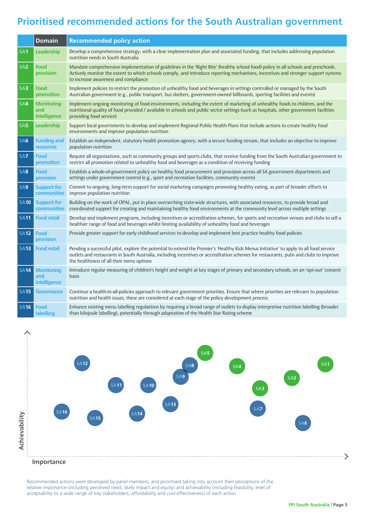### **Prioritised recommended actions for the South Australian government**

|                 | <b>Domain</b>                            | <b>Recommended policy action</b>                                                                                                                                                                                                                                                                                            |
|-----------------|------------------------------------------|-----------------------------------------------------------------------------------------------------------------------------------------------------------------------------------------------------------------------------------------------------------------------------------------------------------------------------|
| SA <sub>1</sub> | Leadership                               | Develop a comprehensive strategy, with a clear implementation plan and associated funding, that includes addressing population<br>nutrition needs in South Australia                                                                                                                                                        |
| SA <sub>2</sub> | Food<br>provision                        | Mandate comprehensive implementation of guidelines in the 'Right Bite' (healthy school food) policy in all schools and preschools.<br>Actively monitor the extent to which schools comply, and introduce reporting mechanisms, incentives and stronger support systems<br>to increase awareness and compliance              |
| S <sub>A3</sub> | Food<br>promotion                        | Implement policies to restrict the promotion of unhealthy food and beverages in settings controlled or managed by the South<br>Australian government (e.g., public transport, bus shelters, government-owned billboards, sporting facilities and events)                                                                    |
| SA4             | <b>Monitoring</b><br>and<br>intelligence | Implement ongoing monitoring of food environments, including the extent of marketing of unhealthy foods to children, and the<br>nutritional quality of food provided / available in schools and public sector settings (such as hospitals, other government facilities<br>providing food service)                           |
| SA <sub>5</sub> | Leadership                               | Support local governments to develop and implement Regional Public Health Plans that include actions to create healthy food<br>environments and improve population nutrition                                                                                                                                                |
| SA <sub>6</sub> | <b>Funding and</b><br>resources          | Establish an independent, statutory health promotion agency, with a secure funding stream, that includes an objective to improve<br>population nutrition                                                                                                                                                                    |
| SA <sub>7</sub> | Food<br>promotion                        | Require all organisations, such as community groups and sports clubs, that receive funding from the South Australian government to<br>restrict all promotion related to unhealthy food and beverages as a condition of receiving funding                                                                                    |
| SA8             | Food<br>provision                        | Establish a whole-of-government policy on healthy food procurement and provision across all SA government departments and<br>settings under government control (e.g., sport and recreation facilities, community events)                                                                                                    |
| SA9             | <b>Support for</b><br>communities        | Commit to ongoing, long-term support for social marketing campaigns promoting healthy eating, as part of broader efforts to<br>improve population nutrition                                                                                                                                                                 |
| <b>SA10</b>     | <b>Support for</b><br>communities        | Building on the work of OPAL, put in place overarching state-wide structures, with associated resources, to provide broad and<br>coordinated support for creating and maintaining healthy food environments at the community level across multiple settings                                                                 |
| <b>SA11</b>     | <b>Food retail</b>                       | Develop and implement programs, including incentives or accreditation schemes, for sports and recreation venues and clubs to sell a<br>healthier range of food and beverages whilst limiting availability of unhealthy food and beverages                                                                                   |
| <b>SA12</b>     | Food<br>provision                        | Provide greater support for early childhood services to develop and implement best practice healthy food policies                                                                                                                                                                                                           |
| <b>SA13</b>     | <b>Food retail</b>                       | Pending a successful pilot, explore the potential to extend the Premier's 'Healthy Kids Menus Initiative' to apply to all food service<br>outlets and restaurants in South Australia, including incentives or accreditation schemes for restaurants, pubs and clubs to improve<br>the healthiness of all their menu options |
| <b>SA14</b>     | <b>Monitoring</b><br>and<br>intelligence | Introduce regular measuring of children's height and weight at key stages of primary and secondary schools, on an 'opt-out' consent<br>basis                                                                                                                                                                                |
| <b>SA15</b>     | <b>Governance</b>                        | Continue a health-in-all-policies approach to relevant government priorities. Ensure that where priorities are relevant to population<br>nutrition and health issues, these are considered at each stage of the policy development process                                                                                  |
| <b>SA16</b>     | Food<br>labelling                        | Enhance existing menu labelling regulations by requiring a broad range of outlets to display interpretive nutrition labelling (broader<br>than kilojoule labelling), potentially through adaptation of the Health Star Rating scheme                                                                                        |



Recommended actions were developed by panel members, and prioritised taking into account their perceptions of the relative importance (including perceived need, likely impact and equity) and achievability (including feasibility, level of acceptability to a wide range of key stakeholders, affordability and cost-effectiveness) of each action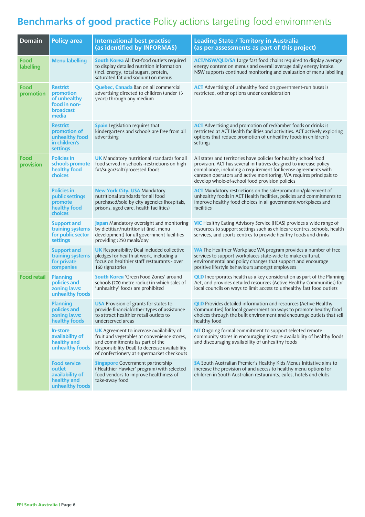### **Benchmarks of good practice** Policy actions targeting food environments

| <b>Domain</b>      | <b>Policy area</b>                                                                 | <b>International best practise</b><br>(as identified by INFORMAS)                                                                                                                                                               | <b>Leading State / Territory in Australia</b><br>(as per assessments as part of this project)                                                                                                                                                                                                                                      |
|--------------------|------------------------------------------------------------------------------------|---------------------------------------------------------------------------------------------------------------------------------------------------------------------------------------------------------------------------------|------------------------------------------------------------------------------------------------------------------------------------------------------------------------------------------------------------------------------------------------------------------------------------------------------------------------------------|
| Food<br>labelling  | <b>Menu labelling</b>                                                              | <b>South Korea</b> All fast-food outlets required<br>to display detailed nutrition information<br>(incl. energy, total sugars, protein,<br>saturated fat and sodium) on menus                                                   | <b>ACT/NSW/QLD/SA</b> Large fast food chains required to display average<br>energy content on menus and overall average daily energy intake.<br>NSW supports continued monitoring and evaluation of menu labelling                                                                                                                 |
| Food<br>promotion  | <b>Restrict</b><br>promotion<br>of unhealthy<br>food in non-<br>broadcast<br>media | <b>Quebec, Canada</b> Ban on all commercial<br>advertising directed to children (under 13<br>years) through any medium                                                                                                          | <b>ACT</b> Advertising of unhealthy food on government-run buses is<br>restricted, other options under consideration                                                                                                                                                                                                               |
|                    | <b>Restrict</b><br>promotion of<br>unhealthy food<br>in children's<br>settings     | <b>Spain</b> Legislation requires that<br>kindergartens and schools are free from all<br>advertising                                                                                                                            | <b>ACT</b> Advertising and promotion of red/amber foods or drinks is<br>restricted at ACT Health facilities and activities. ACT actively exploring<br>options that reduce promotion of unhealthy foods in children's<br>settings                                                                                                   |
| Food<br>provision  | <b>Policies in</b><br>schools promote<br>healthy food<br>choices                   | <b>UK</b> Mandatory nutritional standards for all<br>food served in schools -restrictions on high<br>fat/sugar/salt/processed foods                                                                                             | All states and territories have policies for healthy school food<br>provision. ACT has several initiatives designed to increase policy<br>compliance, including a requirement for license agreements with<br>canteen operators and active monitoring. WA requires principals to<br>develop whole-of-school food provision policies |
|                    | <b>Policies in</b><br>public settings<br>promote<br>healthy food<br><b>choices</b> | <b>New York City, USA Mandatory</b><br>nutritional standards for all food<br>purchased/sold by city agencies (hospitals,<br>prisons, aged care, health facilities)                                                              | <b>ACT</b> Mandatory restrictions on the sale/promotion/placement of<br>unhealthy foods in ACT Health facilities, policies and commitments to<br>improve healthy food choices in all government workplaces and<br>facilities                                                                                                       |
|                    | <b>Support and</b><br>training systems<br>for public sector<br>settings            | Japan Mandatory oversight and monitoring<br>by dietitian/nutritionist (incl. menu<br>development) for all government facilities<br>providing >250 meals/day                                                                     | <b>VIC</b> Healthy Eating Advisory Service (HEAS) provides a wide range of<br>resources to support settings such as childcare centres, schools, health<br>services, and sports centres to provide healthy foods and drinks                                                                                                         |
|                    | <b>Support and</b><br>training systems<br>for private<br>companies                 | <b>UK</b> Responsibility Deal included collective<br>pledges for health at work, including a<br>focus on healthier staff restaurants - over<br>160 signatories                                                                  | <b>WA</b> The Healthier Workplace WA program provides a number of free<br>services to support workplaces state-wide to make cultural,<br>environmental and policy changes that support and encourage<br>positive lifestyle behaviours amongst employees                                                                            |
| <b>Food retail</b> | <b>Planning</b><br>policies and<br>zoning laws:<br>unhealthy foods                 | <b>South Korea</b> 'Green Food Zones' around<br>schools (200 metre radius) in which sales of<br>'unhealthy' foods are prohibited                                                                                                | <b>QLD</b> Incorporates health as a key consideration as part of the Planning<br>Act, and provides detailed resources (Active Healthy Communities) for<br>local councils on ways to limit access to unhealthy fast food outlets                                                                                                    |
|                    | <b>Planning</b><br>policies and<br>zoning laws:<br>healthy foods                   | <b>USA</b> Provision of grants for states to<br>provide financial/other types of assistance<br>to attract healthier retail outlets to<br>underserved areas                                                                      | <b>QLD</b> Provides detailed information and resources (Active Healthy<br>Communities) for local government on ways to promote healthy food<br>choices through the built environment and encourage outlets that sell<br>healthy food                                                                                               |
|                    | <b>In-store</b><br>availability of<br>healthy and<br>unhealthy foods               | <b>UK</b> Agreement to increase availability of<br>fruit and vegetables at convenience stores,<br>and commitments (as part of the<br>Responsibility Deal) to decrease availability<br>of confectionery at supermarket checkouts | NT Ongoing formal commitment to support selected remote<br>community stores in encouraging in-store availability of healthy foods<br>and discouraging availability of unhealthy foods                                                                                                                                              |
|                    | <b>Food service</b><br>outlet<br>availability of<br>healthy and<br>unhealthy foods | <b>Singapore</b> Government partnership<br>('Healthier Hawker' program) with selected<br>food vendors to improve healthiness of<br>take-away food                                                                               | SA South Australian Premier's Healthy Kids Menus Initiative aims to<br>increase the provision of and access to healthy menu options for<br>children in South Australian restaurants, cafes, hotels and clubs                                                                                                                       |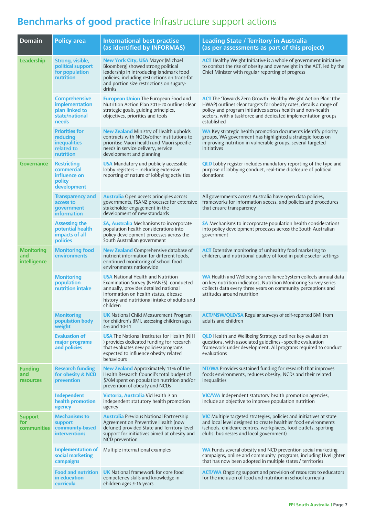## **Benchmarks of good practice** Infrastructure support actions

| <b>Domain</b>                             | <b>Policy area</b>                                                                  | <b>International best practise</b><br>(as identified by INFORMAS)                                                                                                                                                                | <b>Leading State / Territory in Australia</b><br>(as per assessments as part of this project)                                                                                                                                                                                              |
|-------------------------------------------|-------------------------------------------------------------------------------------|----------------------------------------------------------------------------------------------------------------------------------------------------------------------------------------------------------------------------------|--------------------------------------------------------------------------------------------------------------------------------------------------------------------------------------------------------------------------------------------------------------------------------------------|
| Leadership                                | Strong, visible,<br>political support<br>for population<br>nutrition                | <b>New York City, USA Mayor (Michael</b><br>Bloomberg) showed strong political<br>leadership in introducing landmark food<br>policies, including restrictions on trans-fat<br>and portion size restrictions on sugary-<br>drinks | <b>ACT</b> Healthy Weight Initiative is a whole of government initiative<br>to combat the rise of obesity and overweight in the ACT, led by the<br>Chief Minister with regular reporting of progress                                                                                       |
|                                           | <b>Comprehensive</b><br>implementation<br>plan linked to<br>state/national<br>needs | <b>European Union The European Food and</b><br>Nutrition Action Plan 2015-20 outlines clear<br>strategic goals, guiding principles,<br>objectives, priorities and tools                                                          | <b>ACT</b> The 'Towards Zero Growth: Healthy Weight Action Plan' (the<br>HWAP) outlines clear targets for obesity rates, details a range of<br>policy and program initiatives across health and non-health<br>sectors, with a taskforce and dedicated implementation groups<br>established |
|                                           | <b>Priorities for</b><br>reducing<br><b>inequalities</b><br>related to<br>nutrition | <b>New Zealand</b> Ministry of Health upholds<br>contracts with NGOs/other institutions to<br>prioritise Maori health and Maori specific<br>needs in service delivery, service<br>development and planning                       | <b>WA</b> Key strategic health promotion documents identify priority<br>groups, WA government has highlighted a strategic focus on<br>improving nutrition in vulnerable groups, several targeted<br>initiatives                                                                            |
| <b>Governance</b>                         | <b>Restricting</b><br>commercial<br>influence on<br>policy<br>development           | <b>USA</b> Mandatory and publicly accessible<br>lobby registers - including extensive<br>reporting of nature of lobbying activities                                                                                              | <b>QLD</b> Lobby register includes mandatory reporting of the type and<br>purpose of lobbying conduct, real-time disclosure of political<br>donations                                                                                                                                      |
|                                           | <b>Transparency and</b><br>access to<br>government<br><b>information</b>            | <b>Australia</b> Open access principles across<br>governments, FSANZ processes for extensive<br>stakeholder engagement in the<br>development of new standards                                                                    | All governments across Australia have open data policies,<br>frameworks for information access, and policies and procedures<br>that ensure transparency                                                                                                                                    |
|                                           | <b>Assessing the</b><br>potential health<br>impacts of all<br>policies              | <b>SA, Australia</b> Mechanisms to incorporate<br>population health considerations into<br>policy development processes across the<br>South Australian government                                                                | SA Mechanisms to incorporate population health considerations<br>into policy development processes across the South Australian<br>government                                                                                                                                               |
| <b>Monitoring</b><br>and<br>intelligence  | <b>Monitoring food</b><br>environments                                              | <b>New Zealand</b> Comprehensive database of<br>nutrient information for different foods,<br>continued monitoring of school food<br>environments nationwide                                                                      | <b>ACT</b> Extensive monitoring of unhealthy food marketing to<br>children, and nutritional quality of food in public sector settings                                                                                                                                                      |
|                                           | <b>Monitoring</b><br>population<br>nutrition intake                                 | <b>USA</b> National Health and Nutrition<br>Examination Survey (NHANES), conducted<br>annually, provides detailed national<br>information on health status, disease<br>history and nutritional intake of adults and<br>children  | WA Health and Wellbeing Surveillance System collects annual data<br>on key nutrition indicators, Nutrition Monitoring Survey series<br>collects data every three years on community perceptions and<br>attitudes around nutrition                                                          |
|                                           | <b>Monitoring</b><br>population body<br>weight                                      | <b>UK</b> National Child Measurement Program<br>for children's BMI, assessing children ages<br>4-6 and 10-11                                                                                                                     | <b>ACT/NSW/QLD/SA</b> Regular surveys of self-reported BMI from<br>adults and children                                                                                                                                                                                                     |
|                                           | <b>Evaluation of</b><br>major programs<br>and policies                              | <b>USA</b> The National Institutes for Health (NIH<br>) provides dedicated funding for research<br>that evaluates new policies/programs<br>expected to influence obesity related<br>behaviours                                   | <b>QLD</b> Health and Wellbeing Strategy outlines key evaluation<br>questions, with associated guidelines - specific evaluation<br>framework under development. All programs required to conduct<br>evaluations                                                                            |
| <b>Funding</b><br>and<br><b>resources</b> | <b>Research funding</b><br>for obesity & NCD<br>prevention                          | New Zealand Approximately 11% of the<br>Health Research Council's total budget of<br>\$70M spent on population nutrition and/or<br>prevention of obesity and NCDs                                                                | <b>NT/WA</b> Provides sustained funding for research that improves<br>foods environments, reduces obesity, NCDs and their related<br>inequalities                                                                                                                                          |
|                                           | Independent<br>health promotion<br>agency                                           | Victoria, Australia VicHealth is an<br>independent statutory health promotion<br>agency                                                                                                                                          | <b>VIC/WA</b> Independent statutory health promotion agencies,<br>include an objective to improve population nutrition                                                                                                                                                                     |
| <b>Support</b><br>for<br>communities      | <b>Mechanisms to</b><br>support<br>community-based<br><b>interventions</b>          | <b>Australia</b> Previous National Partnership<br>Agreement on Preventive Health (now<br>defunct) provided State and Territory level<br>support for initiatives aimed at obesity and<br>NCD prevention                           | <b>VIC</b> Multiple targeted strategies, policies and initiatives at state<br>and local level designed to create healthier food environments<br>(schools, childcare centres, workplaces, food outlets, sporting<br>clubs, businesses and local government)                                 |
|                                           | <b>Implementation of</b><br>social marketing<br>campaigns                           | Multiple international examples                                                                                                                                                                                                  | WA Funds several obesity and NCD prevention social marketing<br>campaigns, online and community programs, including LiveLighter<br>that has now been adopted in multiple states / territories                                                                                              |
|                                           | <b>Food and nutrition</b><br>in education<br>curricula                              | <b>UK</b> National framework for core food<br>competency skills and knowledge in<br>children ages 5-16 years                                                                                                                     | <b>ACT/WA</b> Ongoing support and provision of resources to educators<br>for the inclusion of food and nutrition in school curricula                                                                                                                                                       |